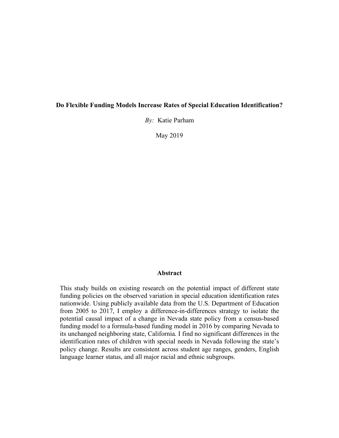#### **Do Flexible Funding Models Increase Rates of Special Education Identification?**

*By:* Katie Parham

May 2019

#### **Abstract**

This study builds on existing research on the potential impact of different state funding policies on the observed variation in special education identification rates nationwide. Using publicly available data from the U.S. Department of Education from 2005 to 2017, I employ a difference-in-differences strategy to isolate the potential causal impact of a change in Nevada state policy from a census-based funding model to a formula-based funding model in 2016 by comparing Nevada to its unchanged neighboring state, California. I find no significant differences in the identification rates of children with special needs in Nevada following the state's policy change. Results are consistent across student age ranges, genders, English language learner status, and all major racial and ethnic subgroups.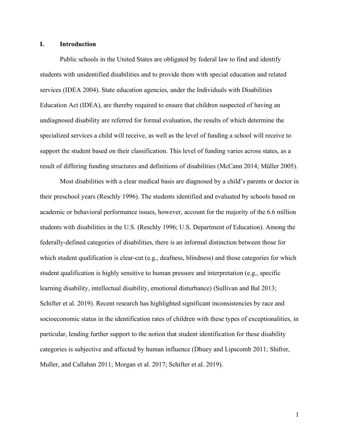# **I. Introduction**

Public schools in the United States are obligated by federal law to find and identify students with unidentified disabilities and to provide them with special education and related services (IDEA 2004). State education agencies, under the Individuals with Disabilities Education Act (IDEA), are thereby required to ensure that children suspected of having an undiagnosed disability are referred for formal evaluation, the results of which determine the specialized services a child will receive, as well as the level of funding a school will receive to support the student based on their classification. This level of funding varies across states, as a result of differing funding structures and definitions of disabilities (McCann 2014; Müller 2005).

Most disabilities with a clear medical basis are diagnosed by a child's parents or doctor in their preschool years (Reschly 1996). The students identified and evaluated by schools based on academic or behavioral performance issues, however, account for the majority of the 6.6 million students with disabilities in the U.S. (Reschly 1996; U.S. Department of Education). Among the federally-defined categories of disabilities, there is an informal distinction between those for which student qualification is clear-cut (e.g., deafness, blindness) and those categories for which student qualification is highly sensitive to human pressure and interpretation (e.g., specific learning disability, intellectual disability, emotional disturbance) (Sullivan and Bal 2013; Schifter et al. 2019). Recent research has highlighted significant inconsistencies by race and socioeconomic status in the identification rates of children with these types of exceptionalities, in particular, lending further support to the notion that student identification for these disability categories is subjective and affected by human influence (Dhuey and Lipscomb 2011; Shifrer, Muller, and Callahan 2011; Morgan et al. 2017; Schifter et al. 2019).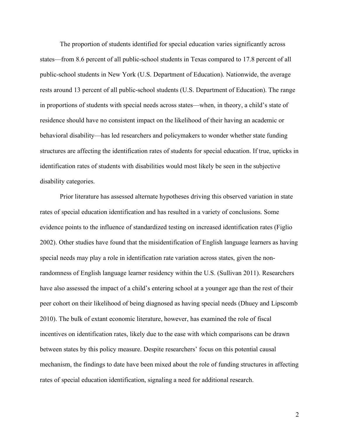The proportion of students identified for special education varies significantly across states—from 8.6 percent of all public-school students in Texas compared to 17.8 percent of all public-school students in New York (U.S. Department of Education). Nationwide, the average rests around 13 percent of all public-school students (U.S. Department of Education). The range in proportions of students with special needs across states—when, in theory, a child's state of residence should have no consistent impact on the likelihood of their having an academic or behavioral disability—has led researchers and policymakers to wonder whether state funding structures are affecting the identification rates of students for special education. If true, upticks in identification rates of students with disabilities would most likely be seen in the subjective disability categories.

Prior literature has assessed alternate hypotheses driving this observed variation in state rates of special education identification and has resulted in a variety of conclusions. Some evidence points to the influence of standardized testing on increased identification rates (Figlio 2002). Other studies have found that the misidentification of English language learners as having special needs may play a role in identification rate variation across states, given the nonrandomness of English language learner residency within the U.S. (Sullivan 2011). Researchers have also assessed the impact of a child's entering school at a younger age than the rest of their peer cohort on their likelihood of being diagnosed as having special needs (Dhuey and Lipscomb 2010). The bulk of extant economic literature, however, has examined the role of fiscal incentives on identification rates, likely due to the ease with which comparisons can be drawn between states by this policy measure. Despite researchers' focus on this potential causal mechanism, the findings to date have been mixed about the role of funding structures in affecting rates of special education identification, signaling a need for additional research.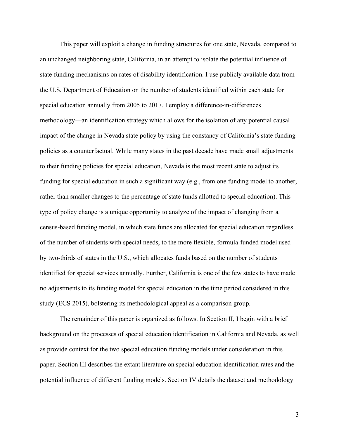This paper will exploit a change in funding structures for one state, Nevada, compared to an unchanged neighboring state, California, in an attempt to isolate the potential influence of state funding mechanisms on rates of disability identification. I use publicly available data from the U.S. Department of Education on the number of students identified within each state for special education annually from 2005 to 2017. I employ a difference-in-differences methodology—an identification strategy which allows for the isolation of any potential causal impact of the change in Nevada state policy by using the constancy of California's state funding policies as a counterfactual. While many states in the past decade have made small adjustments to their funding policies for special education, Nevada is the most recent state to adjust its funding for special education in such a significant way (e.g., from one funding model to another, rather than smaller changes to the percentage of state funds allotted to special education). This type of policy change is a unique opportunity to analyze of the impact of changing from a census-based funding model, in which state funds are allocated for special education regardless of the number of students with special needs, to the more flexible, formula-funded model used by two-thirds of states in the U.S., which allocates funds based on the number of students identified for special services annually. Further, California is one of the few states to have made no adjustments to its funding model for special education in the time period considered in this study (ECS 2015), bolstering its methodological appeal as a comparison group.

The remainder of this paper is organized as follows. In Section II, I begin with a brief background on the processes of special education identification in California and Nevada, as well as provide context for the two special education funding models under consideration in this paper. Section III describes the extant literature on special education identification rates and the potential influence of different funding models. Section IV details the dataset and methodology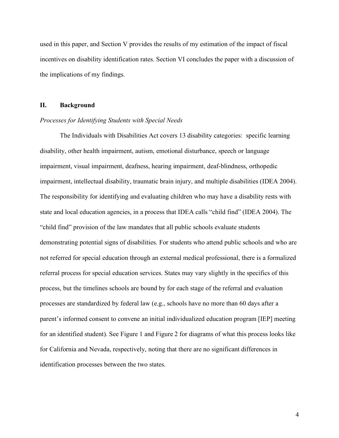used in this paper, and Section V provides the results of my estimation of the impact of fiscal incentives on disability identification rates. Section VI concludes the paper with a discussion of the implications of my findings.

# **II. Background**

#### *Processes for Identifying Students with Special Needs*

The Individuals with Disabilities Act covers 13 disability categories: specific learning disability, other health impairment, autism, emotional disturbance, speech or language impairment, visual impairment, deafness, hearing impairment, deaf-blindness, orthopedic impairment, intellectual disability, traumatic brain injury, and multiple disabilities (IDEA 2004). The responsibility for identifying and evaluating children who may have a disability rests with state and local education agencies, in a process that IDEA calls "child find" (IDEA 2004). The "child find" provision of the law mandates that all public schools evaluate students demonstrating potential signs of disabilities. For students who attend public schools and who are not referred for special education through an external medical professional, there is a formalized referral process for special education services. States may vary slightly in the specifics of this process, but the timelines schools are bound by for each stage of the referral and evaluation processes are standardized by federal law (e.g., schools have no more than 60 days after a parent's informed consent to convene an initial individualized education program [IEP] meeting for an identified student). See Figure 1 and Figure 2 for diagrams of what this process looks like for California and Nevada, respectively, noting that there are no significant differences in identification processes between the two states.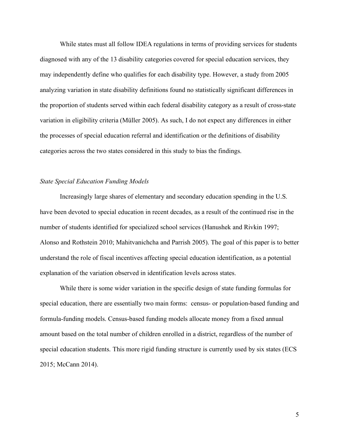While states must all follow IDEA regulations in terms of providing services for students diagnosed with any of the 13 disability categories covered for special education services, they may independently define who qualifies for each disability type. However, a study from 2005 analyzing variation in state disability definitions found no statistically significant differences in the proportion of students served within each federal disability category as a result of cross-state variation in eligibility criteria (Müller 2005). As such, I do not expect any differences in either the processes of special education referral and identification or the definitions of disability categories across the two states considered in this study to bias the findings.

# *State Special Education Funding Models*

Increasingly large shares of elementary and secondary education spending in the U.S. have been devoted to special education in recent decades, as a result of the continued rise in the number of students identified for specialized school services (Hanushek and Rivkin 1997; Alonso and Rothstein 2010; Mahitvanichcha and Parrish 2005). The goal of this paper is to better understand the role of fiscal incentives affecting special education identification, as a potential explanation of the variation observed in identification levels across states.

While there is some wider variation in the specific design of state funding formulas for special education, there are essentially two main forms: census- or population-based funding and formula-funding models. Census-based funding models allocate money from a fixed annual amount based on the total number of children enrolled in a district, regardless of the number of special education students. This more rigid funding structure is currently used by six states (ECS 2015; McCann 2014).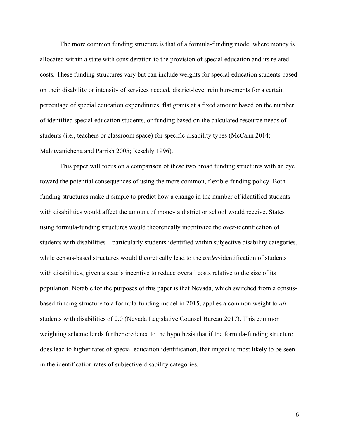The more common funding structure is that of a formula-funding model where money is allocated within a state with consideration to the provision of special education and its related costs. These funding structures vary but can include weights for special education students based on their disability or intensity of services needed, district-level reimbursements for a certain percentage of special education expenditures, flat grants at a fixed amount based on the number of identified special education students, or funding based on the calculated resource needs of students (i.e., teachers or classroom space) for specific disability types (McCann 2014; Mahitvanichcha and Parrish 2005; Reschly 1996).

This paper will focus on a comparison of these two broad funding structures with an eye toward the potential consequences of using the more common, flexible-funding policy. Both funding structures make it simple to predict how a change in the number of identified students with disabilities would affect the amount of money a district or school would receive. States using formula-funding structures would theoretically incentivize the *over*-identification of students with disabilities—particularly students identified within subjective disability categories, while census-based structures would theoretically lead to the *under-*identification of students with disabilities, given a state's incentive to reduce overall costs relative to the size of its population. Notable for the purposes of this paper is that Nevada, which switched from a censusbased funding structure to a formula-funding model in 2015, applies a common weight to *all* students with disabilities of 2.0 (Nevada Legislative Counsel Bureau 2017). This common weighting scheme lends further credence to the hypothesis that if the formula-funding structure does lead to higher rates of special education identification, that impact is most likely to be seen in the identification rates of subjective disability categories.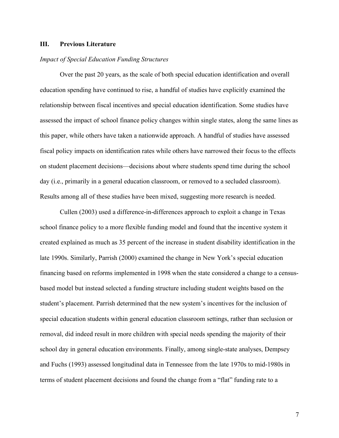## **III. Previous Literature**

# *Impact of Special Education Funding Structures*

Over the past 20 years, as the scale of both special education identification and overall education spending have continued to rise, a handful of studies have explicitly examined the relationship between fiscal incentives and special education identification. Some studies have assessed the impact of school finance policy changes within single states, along the same lines as this paper, while others have taken a nationwide approach. A handful of studies have assessed fiscal policy impacts on identification rates while others have narrowed their focus to the effects on student placement decisions—decisions about where students spend time during the school day (i.e., primarily in a general education classroom, or removed to a secluded classroom). Results among all of these studies have been mixed, suggesting more research is needed.

Cullen (2003) used a difference-in-differences approach to exploit a change in Texas school finance policy to a more flexible funding model and found that the incentive system it created explained as much as 35 percent of the increase in student disability identification in the late 1990s. Similarly, Parrish (2000) examined the change in New York's special education financing based on reforms implemented in 1998 when the state considered a change to a censusbased model but instead selected a funding structure including student weights based on the student's placement. Parrish determined that the new system's incentives for the inclusion of special education students within general education classroom settings, rather than seclusion or removal, did indeed result in more children with special needs spending the majority of their school day in general education environments. Finally, among single-state analyses, Dempsey and Fuchs (1993) assessed longitudinal data in Tennessee from the late 1970s to mid-1980s in terms of student placement decisions and found the change from a "flat" funding rate to a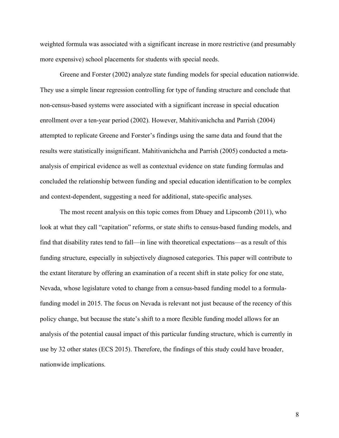weighted formula was associated with a significant increase in more restrictive (and presumably more expensive) school placements for students with special needs.

Greene and Forster (2002) analyze state funding models for special education nationwide. They use a simple linear regression controlling for type of funding structure and conclude that non-census-based systems were associated with a significant increase in special education enrollment over a ten-year period (2002). However, Mahitivanichcha and Parrish (2004) attempted to replicate Greene and Forster's findings using the same data and found that the results were statistically insignificant. Mahitivanichcha and Parrish (2005) conducted a metaanalysis of empirical evidence as well as contextual evidence on state funding formulas and concluded the relationship between funding and special education identification to be complex and context-dependent, suggesting a need for additional, state-specific analyses.

The most recent analysis on this topic comes from Dhuey and Lipscomb (2011), who look at what they call "capitation" reforms, or state shifts to census-based funding models, and find that disability rates tend to fall—in line with theoretical expectations—as a result of this funding structure, especially in subjectively diagnosed categories. This paper will contribute to the extant literature by offering an examination of a recent shift in state policy for one state, Nevada, whose legislature voted to change from a census-based funding model to a formulafunding model in 2015. The focus on Nevada is relevant not just because of the recency of this policy change, but because the state's shift to a more flexible funding model allows for an analysis of the potential causal impact of this particular funding structure, which is currently in use by 32 other states (ECS 2015). Therefore, the findings of this study could have broader, nationwide implications.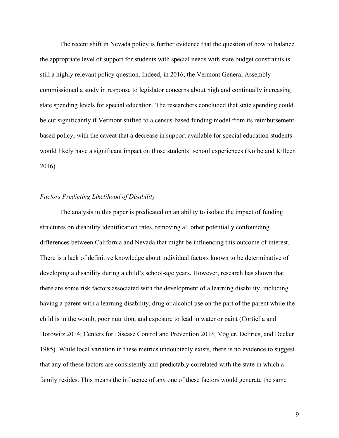The recent shift in Nevada policy is further evidence that the question of how to balance the appropriate level of support for students with special needs with state budget constraints is still a highly relevant policy question. Indeed, in 2016, the Vermont General Assembly commissioned a study in response to legislator concerns about high and continually increasing state spending levels for special education. The researchers concluded that state spending could be cut significantly if Vermont shifted to a census-based funding model from its reimbursementbased policy, with the caveat that a decrease in support available for special education students would likely have a significant impact on those students' school experiences (Kolbe and Killeen 2016).

## *Factors Predicting Likelihood of Disability*

The analysis in this paper is predicated on an ability to isolate the impact of funding structures on disability identification rates, removing all other potentially confounding differences between California and Nevada that might be influencing this outcome of interest. There is a lack of definitive knowledge about individual factors known to be determinative of developing a disability during a child's school-age years. However, research has shown that there are some risk factors associated with the development of a learning disability, including having a parent with a learning disability, drug or alcohol use on the part of the parent while the child is in the womb, poor nutrition, and exposure to lead in water or paint (Cortiella and Horowitz 2014; Centers for Disease Control and Prevention 2013; Vogler, DeFries, and Decker 1985). While local variation in these metrics undoubtedly exists, there is no evidence to suggest that any of these factors are consistently and predictably correlated with the state in which a family resides. This means the influence of any one of these factors would generate the same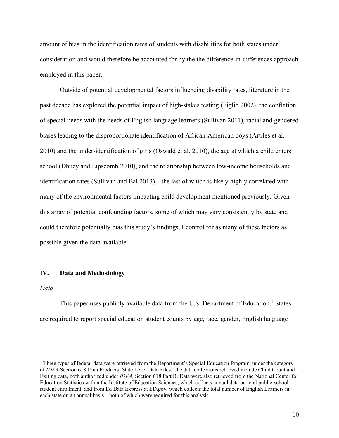amount of bias in the identification rates of students with disabilities for both states under consideration and would therefore be accounted for by the the difference-in-differences approach employed in this paper.

Outside of potential developmental factors influencing disability rates, literature in the past decade has explored the potential impact of high-stakes testing (Figlio 2002), the conflation of special needs with the needs of English language learners (Sullivan 2011), racial and gendered biases leading to the disproportionate identification of African-American boys (Artiles et al. 2010) and the under-identification of girls (Oswald et al. 2010), the age at which a child enters school (Dhuey and Lipscomb 2010), and the relationship between low-income households and identification rates (Sullivan and Bal 2013)—the last of which is likely highly correlated with many of the environmental factors impacting child development mentioned previously. Given this array of potential confounding factors, some of which may vary consistently by state and could therefore potentially bias this study's findings, I control for as many of these factors as possible given the data available.

# **IV. Data and Methodology**

*Data*

 $\overline{a}$ 

This paper uses publicly available data from the U.S. Department of Education.<sup>1</sup> States are required to report special education student counts by age, race, gender, English language

<sup>&</sup>lt;sup>1</sup> Three types of federal data were retrieved from the Department's Special Education Program, under the category of *IDEA* Section 618 Data Products: State Level Data Files. The data collections retrieved include Child Count and Exiting data, both authorized under *IDEA*, Section 618 Part B. Data were also retrieved from the National Center for Education Statistics within the Institute of Education Sciences, which collects annual data on total public-school student enrollment, and from Ed Data Express at ED.gov, which collects the total number of English Learners in each state on an annual basis – both of which were required for this analysis.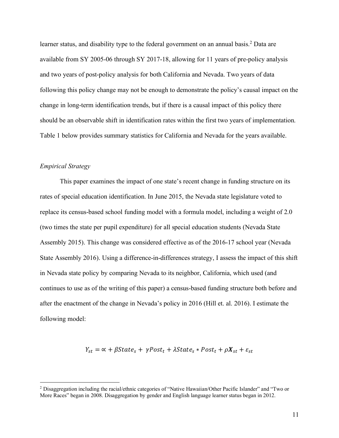learner status, and disability type to the federal government on an annual basis.<sup>2</sup> Data are available from SY 2005-06 through SY 2017-18, allowing for 11 years of pre-policy analysis and two years of post-policy analysis for both California and Nevada. Two years of data following this policy change may not be enough to demonstrate the policy's causal impact on the change in long-term identification trends, but if there is a causal impact of this policy there should be an observable shift in identification rates within the first two years of implementation. Table 1 below provides summary statistics for California and Nevada for the years available.

# *Empirical Strategy*

 $\overline{a}$ 

This paper examines the impact of one state's recent change in funding structure on its rates of special education identification. In June 2015, the Nevada state legislature voted to replace its census-based school funding model with a formula model, including a weight of 2.0 (two times the state per pupil expenditure) for all special education students (Nevada State Assembly 2015). This change was considered effective as of the 2016-17 school year (Nevada State Assembly 2016). Using a difference-in-differences strategy, I assess the impact of this shift in Nevada state policy by comparing Nevada to its neighbor, California, which used (and continues to use as of the writing of this paper) a census-based funding structure both before and after the enactment of the change in Nevada's policy in 2016 (Hill et. al. 2016). I estimate the following model:

$$
Y_{st} = \alpha + \beta State_s + \gamma Post_t + \lambda State_s * Post_t + \rho X_{st} + \varepsilon_{st}
$$

<sup>2</sup> Disaggregation including the racial/ethnic categories of "Native Hawaiian/Other Pacific Islander" and "Two or More Races" began in 2008. Disaggregation by gender and English language learner status began in 2012.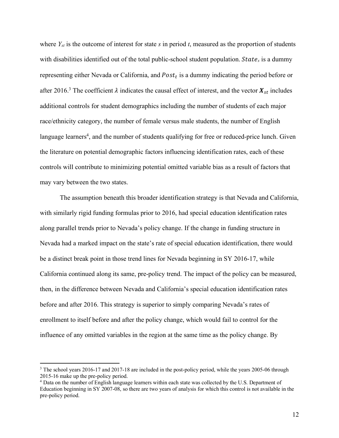where *Yst* is the outcome of interest for state *s* in period *t*, measured as the proportion of students with disabilities identified out of the total public-school student population.  $State_s$  is a dummy representing either Nevada or California, and  $Post<sub>t</sub>$  is a dummy indicating the period before or after 2016.<sup>3</sup> The coefficient  $\lambda$  indicates the causal effect of interest, and the vector  $X_{st}$  includes additional controls for student demographics including the number of students of each major race/ethnicity category, the number of female versus male students, the number of English language learners<sup>4</sup>, and the number of students qualifying for free or reduced-price lunch. Given the literature on potential demographic factors influencing identification rates, each of these controls will contribute to minimizing potential omitted variable bias as a result of factors that may vary between the two states.

The assumption beneath this broader identification strategy is that Nevada and California, with similarly rigid funding formulas prior to 2016, had special education identification rates along parallel trends prior to Nevada's policy change. If the change in funding structure in Nevada had a marked impact on the state's rate of special education identification, there would be a distinct break point in those trend lines for Nevada beginning in SY 2016-17, while California continued along its same, pre-policy trend. The impact of the policy can be measured, then, in the difference between Nevada and California's special education identification rates before and after 2016. This strategy is superior to simply comparing Nevada's rates of enrollment to itself before and after the policy change, which would fail to control for the influence of any omitted variables in the region at the same time as the policy change. By

 $\overline{a}$ 

<sup>&</sup>lt;sup>3</sup> The school years 2016-17 and 2017-18 are included in the post-policy period, while the years 2005-06 through 2015-16 make up the pre-policy period.

<sup>&</sup>lt;sup>4</sup> Data on the number of English language learners within each state was collected by the U.S. Department of Education beginning in SY 2007-08, so there are two years of analysis for which this control is not available in the pre-policy period.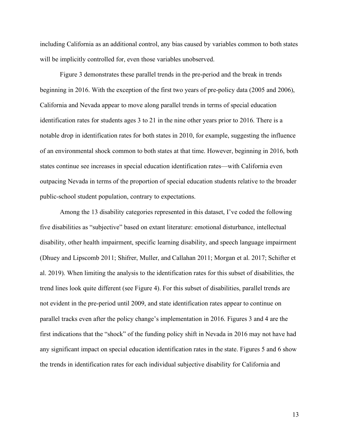including California as an additional control, any bias caused by variables common to both states will be implicitly controlled for, even those variables unobserved.

Figure 3 demonstrates these parallel trends in the pre-period and the break in trends beginning in 2016. With the exception of the first two years of pre-policy data (2005 and 2006), California and Nevada appear to move along parallel trends in terms of special education identification rates for students ages 3 to 21 in the nine other years prior to 2016. There is a notable drop in identification rates for both states in 2010, for example, suggesting the influence of an environmental shock common to both states at that time. However, beginning in 2016, both states continue see increases in special education identification rates—with California even outpacing Nevada in terms of the proportion of special education students relative to the broader public-school student population, contrary to expectations.

Among the 13 disability categories represented in this dataset, I've coded the following five disabilities as "subjective" based on extant literature: emotional disturbance, intellectual disability, other health impairment, specific learning disability, and speech language impairment (Dhuey and Lipscomb 2011; Shifrer, Muller, and Callahan 2011; Morgan et al. 2017; Schifter et al. 2019). When limiting the analysis to the identification rates for this subset of disabilities, the trend lines look quite different (see Figure 4). For this subset of disabilities, parallel trends are not evident in the pre-period until 2009, and state identification rates appear to continue on parallel tracks even after the policy change's implementation in 2016. Figures 3 and 4 are the first indications that the "shock" of the funding policy shift in Nevada in 2016 may not have had any significant impact on special education identification rates in the state. Figures 5 and 6 show the trends in identification rates for each individual subjective disability for California and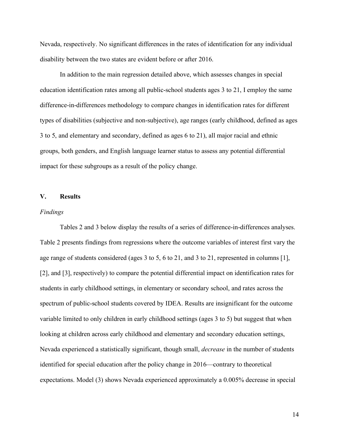Nevada, respectively. No significant differences in the rates of identification for any individual disability between the two states are evident before or after 2016.

In addition to the main regression detailed above, which assesses changes in special education identification rates among all public-school students ages 3 to 21, I employ the same difference-in-differences methodology to compare changes in identification rates for different types of disabilities (subjective and non-subjective), age ranges (early childhood, defined as ages 3 to 5, and elementary and secondary, defined as ages 6 to 21), all major racial and ethnic groups, both genders, and English language learner status to assess any potential differential impact for these subgroups as a result of the policy change.

#### **V. Results**

#### *Findings*

Tables 2 and 3 below display the results of a series of difference-in-differences analyses. Table 2 presents findings from regressions where the outcome variables of interest first vary the age range of students considered (ages 3 to 5, 6 to 21, and 3 to 21, represented in columns [1], [2], and [3], respectively) to compare the potential differential impact on identification rates for students in early childhood settings, in elementary or secondary school, and rates across the spectrum of public-school students covered by IDEA. Results are insignificant for the outcome variable limited to only children in early childhood settings (ages 3 to 5) but suggest that when looking at children across early childhood and elementary and secondary education settings, Nevada experienced a statistically significant, though small, *decrease* in the number of students identified for special education after the policy change in 2016—contrary to theoretical expectations. Model (3) shows Nevada experienced approximately a 0.005% decrease in special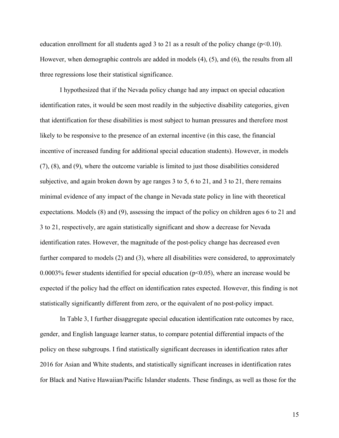education enrollment for all students aged 3 to 21 as a result of the policy change ( $p<0.10$ ). However, when demographic controls are added in models (4), (5), and (6), the results from all three regressions lose their statistical significance.

I hypothesized that if the Nevada policy change had any impact on special education identification rates, it would be seen most readily in the subjective disability categories, given that identification for these disabilities is most subject to human pressures and therefore most likely to be responsive to the presence of an external incentive (in this case, the financial incentive of increased funding for additional special education students). However, in models (7), (8), and (9), where the outcome variable is limited to just those disabilities considered subjective, and again broken down by age ranges 3 to 5, 6 to 21, and 3 to 21, there remains minimal evidence of any impact of the change in Nevada state policy in line with theoretical expectations. Models (8) and (9), assessing the impact of the policy on children ages 6 to 21 and 3 to 21, respectively, are again statistically significant and show a decrease for Nevada identification rates. However, the magnitude of the post-policy change has decreased even further compared to models (2) and (3), where all disabilities were considered, to approximately 0.0003% fewer students identified for special education ( $p<0.05$ ), where an increase would be expected if the policy had the effect on identification rates expected. However, this finding is not statistically significantly different from zero, or the equivalent of no post-policy impact.

In Table 3, I further disaggregate special education identification rate outcomes by race, gender, and English language learner status, to compare potential differential impacts of the policy on these subgroups. I find statistically significant decreases in identification rates after 2016 for Asian and White students, and statistically significant increases in identification rates for Black and Native Hawaiian/Pacific Islander students. These findings, as well as those for the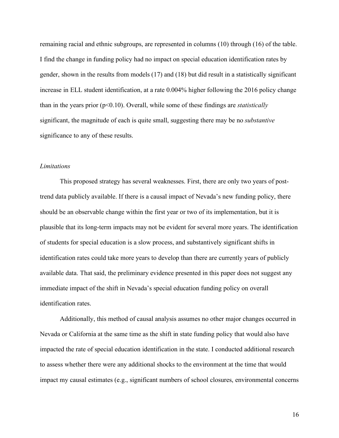remaining racial and ethnic subgroups, are represented in columns (10) through (16) of the table. I find the change in funding policy had no impact on special education identification rates by gender, shown in the results from models (17) and (18) but did result in a statistically significant increase in ELL student identification, at a rate 0.004% higher following the 2016 policy change than in the years prior (p<0.10). Overall, while some of these findings are *statistically* significant, the magnitude of each is quite small, suggesting there may be no *substantive* significance to any of these results.

## *Limitations*

This proposed strategy has several weaknesses. First, there are only two years of posttrend data publicly available. If there is a causal impact of Nevada's new funding policy, there should be an observable change within the first year or two of its implementation, but it is plausible that its long-term impacts may not be evident for several more years. The identification of students for special education is a slow process, and substantively significant shifts in identification rates could take more years to develop than there are currently years of publicly available data. That said, the preliminary evidence presented in this paper does not suggest any immediate impact of the shift in Nevada's special education funding policy on overall identification rates.

Additionally, this method of causal analysis assumes no other major changes occurred in Nevada or California at the same time as the shift in state funding policy that would also have impacted the rate of special education identification in the state. I conducted additional research to assess whether there were any additional shocks to the environment at the time that would impact my causal estimates (e.g., significant numbers of school closures, environmental concerns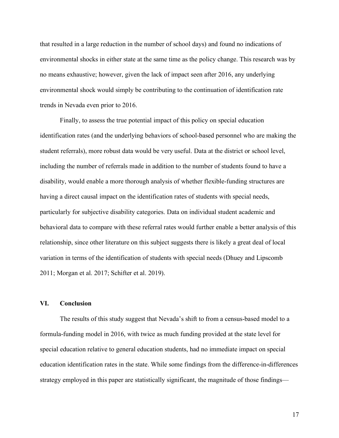that resulted in a large reduction in the number of school days) and found no indications of environmental shocks in either state at the same time as the policy change. This research was by no means exhaustive; however, given the lack of impact seen after 2016, any underlying environmental shock would simply be contributing to the continuation of identification rate trends in Nevada even prior to 2016.

Finally, to assess the true potential impact of this policy on special education identification rates (and the underlying behaviors of school-based personnel who are making the student referrals), more robust data would be very useful. Data at the district or school level, including the number of referrals made in addition to the number of students found to have a disability, would enable a more thorough analysis of whether flexible-funding structures are having a direct causal impact on the identification rates of students with special needs, particularly for subjective disability categories. Data on individual student academic and behavioral data to compare with these referral rates would further enable a better analysis of this relationship, since other literature on this subject suggests there is likely a great deal of local variation in terms of the identification of students with special needs (Dhuey and Lipscomb 2011; Morgan et al. 2017; Schifter et al. 2019).

# **VI. Conclusion**

The results of this study suggest that Nevada's shift to from a census-based model to a formula-funding model in 2016, with twice as much funding provided at the state level for special education relative to general education students, had no immediate impact on special education identification rates in the state. While some findings from the difference-in-differences strategy employed in this paper are statistically significant, the magnitude of those findings—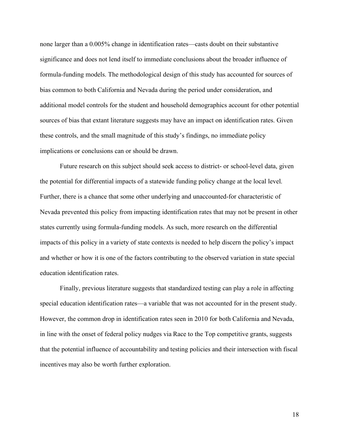none larger than a 0.005% change in identification rates—casts doubt on their substantive significance and does not lend itself to immediate conclusions about the broader influence of formula-funding models. The methodological design of this study has accounted for sources of bias common to both California and Nevada during the period under consideration, and additional model controls for the student and household demographics account for other potential sources of bias that extant literature suggests may have an impact on identification rates. Given these controls, and the small magnitude of this study's findings, no immediate policy implications or conclusions can or should be drawn.

Future research on this subject should seek access to district- or school-level data, given the potential for differential impacts of a statewide funding policy change at the local level. Further, there is a chance that some other underlying and unaccounted-for characteristic of Nevada prevented this policy from impacting identification rates that may not be present in other states currently using formula-funding models. As such, more research on the differential impacts of this policy in a variety of state contexts is needed to help discern the policy's impact and whether or how it is one of the factors contributing to the observed variation in state special education identification rates.

Finally, previous literature suggests that standardized testing can play a role in affecting special education identification rates—a variable that was not accounted for in the present study. However, the common drop in identification rates seen in 2010 for both California and Nevada, in line with the onset of federal policy nudges via Race to the Top competitive grants, suggests that the potential influence of accountability and testing policies and their intersection with fiscal incentives may also be worth further exploration.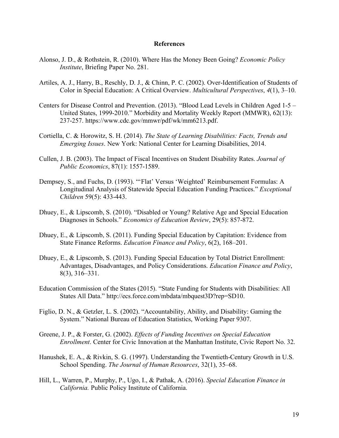## **References**

- Alonso, J. D., & Rothstein, R. (2010). Where Has the Money Been Going? *Economic Policy Institute*, Briefing Paper No. 281.
- Artiles, A. J., Harry, B., Reschly, D. J., & Chinn, P. C. (2002). Over-Identification of Students of Color in Special Education: A Critical Overview. *Multicultural Perspectives*, *4*(1), 3–10.
- Centers for Disease Control and Prevention. (2013). "Blood Lead Levels in Children Aged 1-5 United States, 1999-2010." Morbidity and Mortality Weekly Report (MMWR), 62(13): 237-257. https://www.cdc.gov/mmwr/pdf/wk/mm6213.pdf.
- Cortiella, C. & Horowitz, S. H. (2014). *The State of Learning Disabilities: Facts, Trends and Emerging Issues*. New York: National Center for Learning Disabilities, 2014.
- Cullen, J. B. (2003). The Impact of Fiscal Incentives on Student Disability Rates. *Journal of Public Economics*, 87(1): 1557-1589.
- Dempsey, S., and Fuchs, D. (1993). "'Flat' Versus 'Weighted' Reimbursement Formulas: A Longitudinal Analysis of Statewide Special Education Funding Practices." *Exceptional Children* 59(5): 433-443.
- Dhuey, E., & Lipscomb, S. (2010). "Disabled or Young? Relative Age and Special Education Diagnoses in Schools." *Economics of Education Review*, 29(5): 857-872.
- Dhuey, E., & Lipscomb, S. (2011). Funding Special Education by Capitation: Evidence from State Finance Reforms. *Education Finance and Policy*, 6(2), 168–201.
- Dhuey, E., & Lipscomb, S. (2013). Funding Special Education by Total District Enrollment: Advantages, Disadvantages, and Policy Considerations. *Education Finance and Policy*, 8(3), 316–331.
- Education Commission of the States (2015). "State Funding for Students with Disabilities: All States All Data." http://ecs.force.com/mbdata/mbquest3D?rep=SD10.
- Figlio, D. N., & Getzler, L. S. (2002). "Accountability, Ability, and Disability: Gaming the System." National Bureau of Education Statistics, Working Paper 9307.
- Greene, J. P., & Forster, G. (2002). *Effects of Funding Incentives on Special Education Enrollment*. Center for Civic Innovation at the Manhattan Institute, Civic Report No. 32.
- Hanushek, E. A., & Rivkin, S. G. (1997). Understanding the Twentieth-Century Growth in U.S. School Spending. *The Journal of Human Resources*, 32(1), 35–68.
- Hill, L., Warren, P., Murphy, P., Ugo, I., & Pathak, A. (2016). *Special Education Finance in California.* Public Policy Institute of California.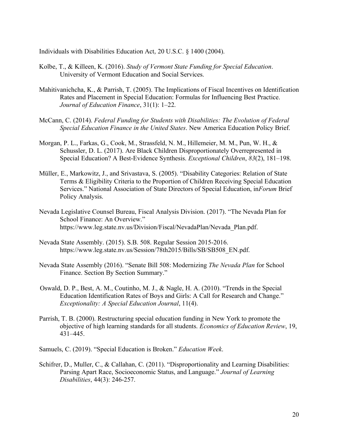Individuals with Disabilities Education Act, 20 U.S.C. § 1400 (2004).

- Kolbe, T., & Killeen, K. (2016). *Study of Vermont State Funding for Special Education*. University of Vermont Education and Social Services.
- Mahitivanichcha, K., & Parrish, T. (2005). The Implications of Fiscal Incentives on Identification Rates and Placement in Special Education: Formulas for Influencing Best Practice. *Journal of Education Finance*, 31(1): 1–22.
- McCann, C. (2014). *Federal Funding for Students with Disabilities: The Evolution of Federal Special Education Finance in the United States*. New America Education Policy Brief.
- Morgan, P. L., Farkas, G., Cook, M., Strassfeld, N. M., Hillemeier, M. M., Pun, W. H., & Schussler, D. L. (2017). Are Black Children Disproportionately Overrepresented in Special Education? A Best-Evidence Synthesis. *Exceptional Children*, *83*(2), 181–198.
- Müller, E., Markowitz, J., and Srivastava, S. (2005). "Disability Categories: Relation of State Terms & Eligibility Criteria to the Proportion of Children Receiving Special Education Services." National Association of State Directors of Special Education, in*Forum* Brief Policy Analysis.
- Nevada Legislative Counsel Bureau, Fiscal Analysis Division. (2017). "The Nevada Plan for School Finance: An Overview." https://www.leg.state.nv.us/Division/Fiscal/NevadaPlan/Nevada\_Plan.pdf.
- Nevada State Assembly. (2015). S.B. 508. Regular Session 2015-2016. https://www.leg.state.nv.us/Session/78th2015/Bills/SB/SB508\_EN.pdf.
- Nevada State Assembly (2016). "Senate Bill 508: Modernizing *The Nevada Plan* for School Finance. Section By Section Summary."
- Oswald, D. P., Best, A. M., Coutinho, M. J., & Nagle, H. A. (2010). "Trends in the Special Education Identification Rates of Boys and Girls: A Call for Research and Change." *Exceptionality: A Special Education Journal*, 11(4).
- Parrish, T. B. (2000). Restructuring special education funding in New York to promote the objective of high learning standards for all students. *Economics of Education Review*, 19, 431–445.

Samuels, C. (2019). "Special Education is Broken." *Education Week*.

Schifrer, D., Muller, C., & Callahan, C. (2011). "Disproportionality and Learning Disabilities: Parsing Apart Race, Socioeconomic Status, and Language." *Journal of Learning Disabilities*, 44(3): 246-257.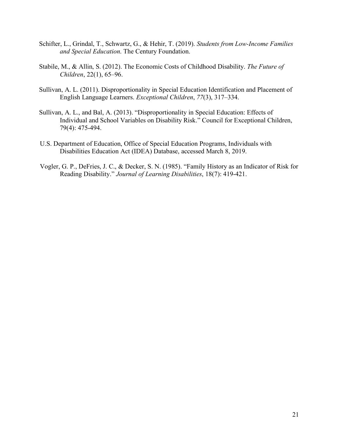- Schifter, L., Grindal, T., Schwartz, G., & Hehir, T. (2019). *Students from Low-Income Families and Special Education*. The Century Foundation.
- Stabile, M., & Allin, S. (2012). The Economic Costs of Childhood Disability. *The Future of Children*, 22(1), 65–96.
- Sullivan, A. L. (2011). Disproportionality in Special Education Identification and Placement of English Language Learners. *Exceptional Children*, *77*(3), 317–334.
- Sullivan, A. L., and Bal, A. (2013). "Disproportionality in Special Education: Effects of Individual and School Variables on Disability Risk." Council for Exceptional Children, 79(4): 475-494.
- U.S. Department of Education, Office of Special Education Programs, Individuals with Disabilities Education Act (IDEA) Database, accessed March 8, 2019.
- Vogler, G. P., DeFries, J. C., & Decker, S. N. (1985). "Family History as an Indicator of Risk for Reading Disability." *Journal of Learning Disabilities*, 18(7): 419-421.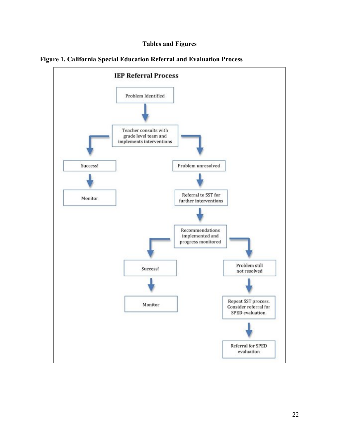# **Tables and Figures**



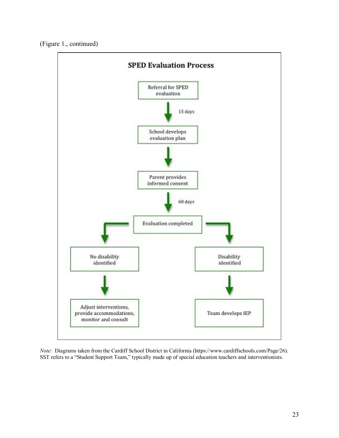(Figure 1., continued)



*Note*: Diagrams taken from the Cardiff School District in California (https://www.cardiffschools.com/Page/26). SST refers to a "Student Support Team," typically made up of special education teachers and interventionists.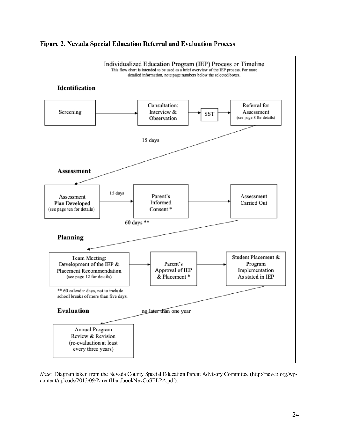

# **Figure 2. Nevada Special Education Referral and Evaluation Process**

*Note*: Diagram taken from the Nevada County Special Education Parent Advisory Committee (http://nevco.org/wpcontent/uploads/2013/09/ParentHandbookNevCoSELPA.pdf).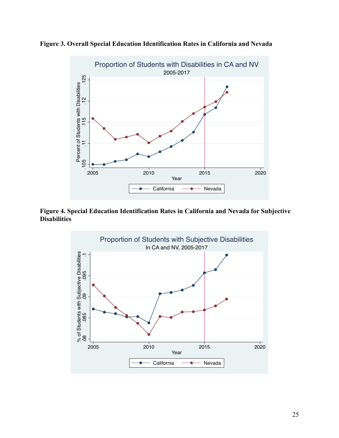



**Figure 4. Special Education Identification Rates in California and Nevada for Subjective Disabilities**

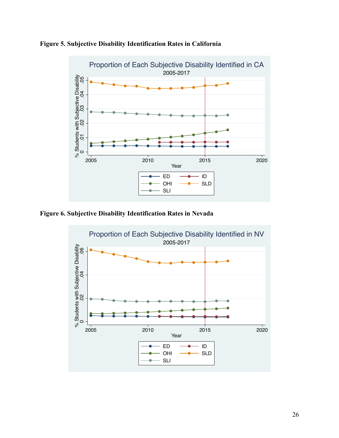

**Figure 5. Subjective Disability Identification Rates in California**

**Figure 6. Subjective Disability Identification Rates in Nevada**

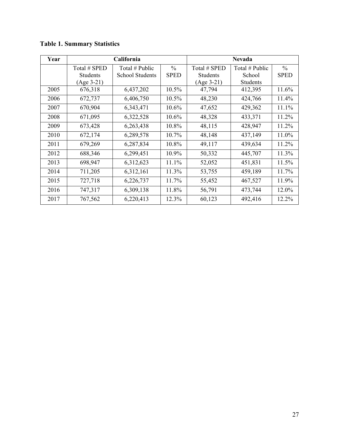| Year |                 | California             | <b>Nevada</b> |                 |                 |               |
|------|-----------------|------------------------|---------------|-----------------|-----------------|---------------|
|      | Total # SPED    | Total # Public         | $\frac{0}{0}$ | Total # SPED    | Total # Public  | $\frac{0}{0}$ |
|      | <b>Students</b> | <b>School Students</b> | <b>SPED</b>   | <b>Students</b> | School          | <b>SPED</b>   |
|      | $(Age 3-21)$    |                        |               | $(Age 3-21)$    | <b>Students</b> |               |
| 2005 | 676,318         | 6,437,202              | 10.5%         | 47,794          | 412,395         | 11.6%         |
| 2006 | 672,737         | 6,406,750              | 10.5%         | 48,230          | 424,766         | 11.4%         |
| 2007 | 670,904         | 6,343,471              | $10.6\%$      | 47,652          | 429,362         | 11.1%         |
| 2008 | 671,095         | 6,322,528              | $10.6\%$      | 48,328          | 433,371         | 11.2%         |
| 2009 | 673,428         | 6,263,438              | 10.8%         | 48,115          | 428,947         | 11.2%         |
| 2010 | 672,174         | 6,289,578              | $10.7\%$      | 48,148          | 437,149         | 11.0%         |
| 2011 | 679,269         | 6,287,834              | 10.8%         | 49,117          | 439,634         | 11.2%         |
| 2012 | 688,346         | 6,299,451              | 10.9%         | 50,332          | 445,707         | 11.3%         |
| 2013 | 698,947         | 6,312,623              | 11.1%         | 52,052          | 451,831         | 11.5%         |
| 2014 | 711,205         | 6,312,161              | 11.3%         | 53,755          | 459,189         | 11.7%         |
| 2015 | 727,718         | 6,226,737              | 11.7%         | 55,452          | 467,527         | 11.9%         |
| 2016 | 747,317         | 6,309,138              | 11.8%         | 56,791          | 473,744         | 12.0%         |
| 2017 | 767,562         | 6,220,413              | 12.3%         | 60,123          | 492,416         | 12.2%         |

# **Table 1. Summary Statistics**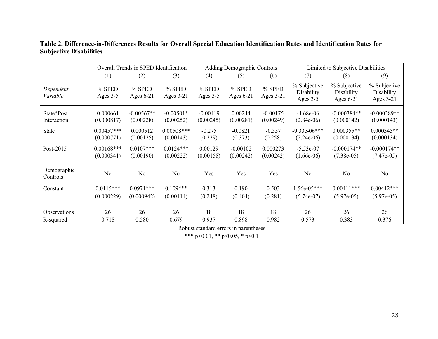# **Table 2. Difference-in-Differences Results for Overall Special Education Identification Rates and Identification Rates for Subjective Disabilities**

|                           | Overall Trends in SPED Identification |                           |                           | Adding Demographic Controls |                         |                         | Limited to Subjective Disabilities     |                                           |                                         |  |
|---------------------------|---------------------------------------|---------------------------|---------------------------|-----------------------------|-------------------------|-------------------------|----------------------------------------|-------------------------------------------|-----------------------------------------|--|
|                           | (1)                                   | (2)                       | (3)                       | (4)                         | (5)                     | (6)                     | (7)                                    | (8)                                       | (9)                                     |  |
| Dependent<br>Variable     | $%$ SPED<br>Ages 3-5                  | % SPED<br>Ages $6-21$     | $%$ SPED<br>Ages 3-21     | % SPED<br>Ages 3-5          | % SPED<br>Ages 6-21     | % SPED<br>Ages $3-21$   | % Subjective<br>Disability<br>Ages 3-5 | % Subjective<br>Disability<br>Ages $6-21$ | % Subjective<br>Disability<br>Ages 3-21 |  |
| State*Post<br>Interaction | 0.000661<br>(0.000817)                | $-0.00567**$<br>(0.00228) | $-0.00501*$<br>(0.00252)  | $-0.00419$<br>(0.00245)     | 0.00244<br>(0.00281)    | $-0.00175$<br>(0.00249) | $-4.68e-06$<br>$(2.84e-06)$            | $-0.000384**$<br>(0.000142)               | $-0.000389**$<br>(0.000143)             |  |
| State                     | $0.00457***$<br>(0.000771)            | 0.000512<br>(0.00125)     | $0.00508***$<br>(0.00143) | $-0.275$<br>(0.229)         | $-0.0821$<br>(0.373)    | $-0.357$<br>(0.258)     | $-9.33e-06***$<br>$(2.24e-06)$         | $0.000355**$<br>(0.000134)                | $0.000345**$<br>(0.000134)              |  |
| Post-2015                 | $0.00168$ ***<br>(0.000341)           | $0.0107***$<br>(0.00190)  | $0.0124***$<br>(0.00222)  | 0.00129<br>(0.00158)        | $-0.00102$<br>(0.00242) | 0.000273<br>(0.00242)   | $-5.53e-07$<br>$(1.66e-06)$            | $-0.000174**$<br>$(7.38e-05)$             | $-0.000174**$<br>$(7.47e-05)$           |  |
| Demographic<br>Controls   | N <sub>o</sub>                        | N <sub>0</sub>            | No                        | Yes                         | Yes                     | Yes                     | N <sub>0</sub>                         | N <sub>0</sub>                            | N <sub>o</sub>                          |  |
| Constant                  | $0.0115***$                           | $0.0971***$               | $0.109***$                | 0.313                       | 0.190                   | 0.503                   | $1.56e-05***$                          | $0.00411***$                              | $0.00412***$                            |  |
|                           | (0.000229)                            | (0.000942)                | (0.00114)                 | (0.248)                     | (0.404)                 | (0.281)                 | $(5.74e-07)$                           | $(5.97e-05)$                              | $(5.97e-05)$                            |  |
| Observations              | 26                                    | 26                        | 26                        | 18                          | 18                      | 18                      | 26                                     | 26                                        | 26                                      |  |
| R-squared                 | 0.718                                 | 0.580                     | 0.679                     | 0.937                       | 0.898                   | 0.982                   | 0.573                                  | 0.383                                     | 0.376                                   |  |

Robust standard errors in parentheses

\*\*\* p<0.01, \*\* p<0.05, \* p<0.1